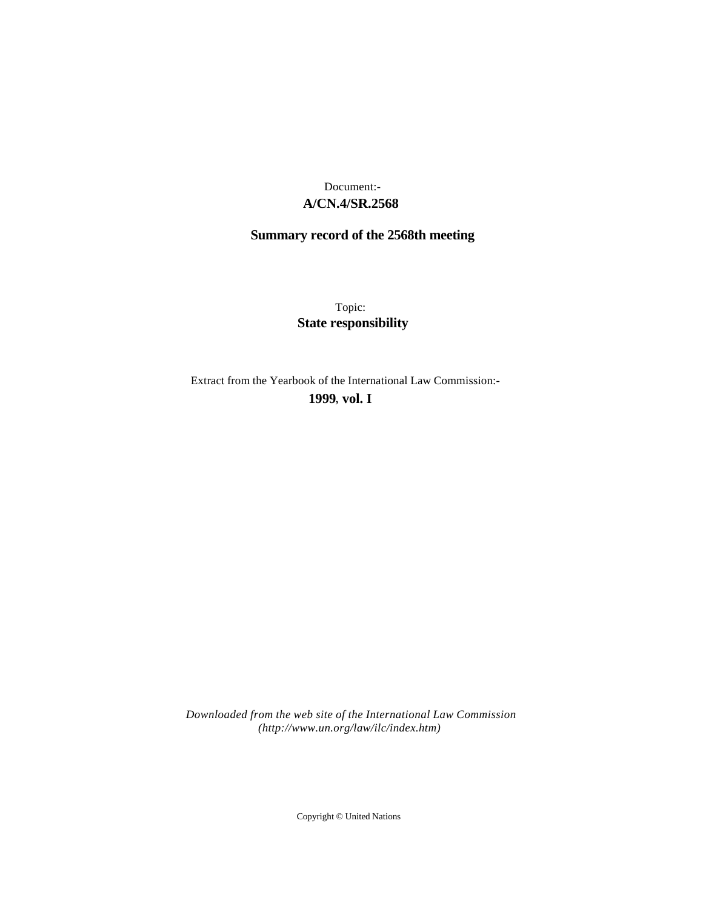# **A/CN.4/SR.2568** Document:-

# **Summary record of the 2568th meeting**

Topic: **State responsibility**

Extract from the Yearbook of the International Law Commission:-

**1999** , **vol. I**

*Downloaded from the web site of the International Law Commission (http://www.un.org/law/ilc/index.htm)*

Copyright © United Nations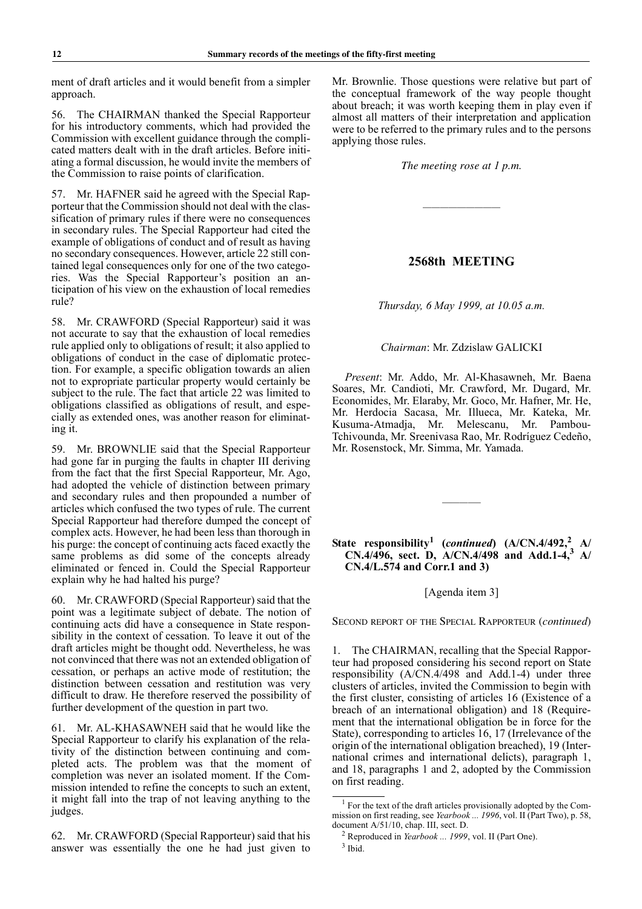ment of draft articles and it would benefit from a simpler approach.

56. The CHAIRMAN thanked the Special Rapporteur for his introductory comments, which had provided the Commission with excellent guidance through the complicated matters dealt with in the draft articles. Before initiating a formal discussion, he would invite the members of the Commission to raise points of clarification.

57. Mr. HAFNER said he agreed with the Special Rapporteur that the Commission should not deal with the classification of primary rules if there were no consequences in secondary rules. The Special Rapporteur had cited the example of obligations of conduct and of result as having no secondary consequences. However, article 22 still contained legal consequences only for one of the two categories. Was the Special Rapporteur's position an anticipation of his view on the exhaustion of local remedies rule?

58. Mr. CRAWFORD (Special Rapporteur) said it was not accurate to say that the exhaustion of local remedies rule applied only to obligations of result; it also applied to obligations of conduct in the case of diplomatic protection. For example, a specific obligation towards an alien not to expropriate particular property would certainly be subject to the rule. The fact that article 22 was limited to obligations classified as obligations of result, and especially as extended ones, was another reason for eliminating it.

59. Mr. BROWNLIE said that the Special Rapporteur had gone far in purging the faults in chapter III deriving from the fact that the first Special Rapporteur, Mr. Ago, had adopted the vehicle of distinction between primary and secondary rules and then propounded a number of articles which confused the two types of rule. The current Special Rapporteur had therefore dumped the concept of complex acts. However, he had been less than thorough in his purge: the concept of continuing acts faced exactly the same problems as did some of the concepts already eliminated or fenced in. Could the Special Rapporteur explain why he had halted his purge?

60. Mr. CRAWFORD (Special Rapporteur) said that the point was a legitimate subject of debate. The notion of continuing acts did have a consequence in State responsibility in the context of cessation. To leave it out of the draft articles might be thought odd. Nevertheless, he was not convinced that there was not an extended obligation of cessation, or perhaps an active mode of restitution; the distinction between cessation and restitution was very difficult to draw. He therefore reserved the possibility of further development of the question in part two.

61. Mr. AL-KHASAWNEH said that he would like the Special Rapporteur to clarify his explanation of the relativity of the distinction between continuing and completed acts. The problem was that the moment of completion was never an isolated moment. If the Commission intended to refine the concepts to such an extent, it might fall into the trap of not leaving anything to the judges.

62. Mr. CRAWFORD (Special Rapporteur) said that his answer was essentially the one he had just given to Mr. Brownlie. Those questions were relative but part of the conceptual framework of the way people thought about breach; it was worth keeping them in play even if almost all matters of their interpretation and application were to be referred to the primary rules and to the persons applying those rules.

*The meeting rose at 1 p.m.*

—————————

## **2568th MEETING**

*Thursday, 6 May 1999, at 10.05 a.m.*

#### *Chairman*: Mr. Zdzislaw GALICKI

*Present*: Mr. Addo, Mr. Al-Khasawneh, Mr. Baena Soares, Mr. Candioti, Mr. Crawford, Mr. Dugard, Mr. Economides, Mr. Elaraby, Mr. Goco, Mr. Hafner, Mr. He, Mr. Herdocia Sacasa, Mr. Illueca, Mr. Kateka, Mr. Kusuma-Atmadja, Mr. Melescanu, Mr. Pambou-Tchivounda, Mr. Sreenivasa Rao, Mr. Rodríguez Cedeño, Mr. Rosenstock, Mr. Simma, Mr. Yamada.

# **State responsibility<sup>1</sup> (***continued***) (A/CN.4/492,<sup>2</sup> A/ CN.4/496, sect. D, A/CN.4/498 and Add.1-4,3 A/ CN.4/L.574 and Corr.1 and 3)**

————–

[Agenda item 3]

SECOND REPORT OF THE SPECIAL RAPPORTEUR (*continued*)

1. The CHAIRMAN, recalling that the Special Rapporteur had proposed considering his second report on State responsibility (A/CN.4/498 and Add.1-4) under three clusters of articles, invited the Commission to begin with the first cluster, consisting of articles 16 (Existence of a breach of an international obligation) and 18 (Requirement that the international obligation be in force for the State), corresponding to articles 16, 17 (Irrelevance of the origin of the international obligation breached), 19 (International crimes and international delicts), paragraph 1, and 18, paragraphs 1 and 2, adopted by the Commission on first reading.

<sup>&</sup>lt;sup>1</sup> For the text of the draft articles provisionally adopted by the Commission on first reading, see *Yearbook ... 1996*, vol. II (Part Two), p. 58, document A/51/10, chap. III, sect. D.

<sup>2</sup> Reproduced in *Yearbook ... 1999*, vol. II (Part One).

<sup>3</sup> Ibid.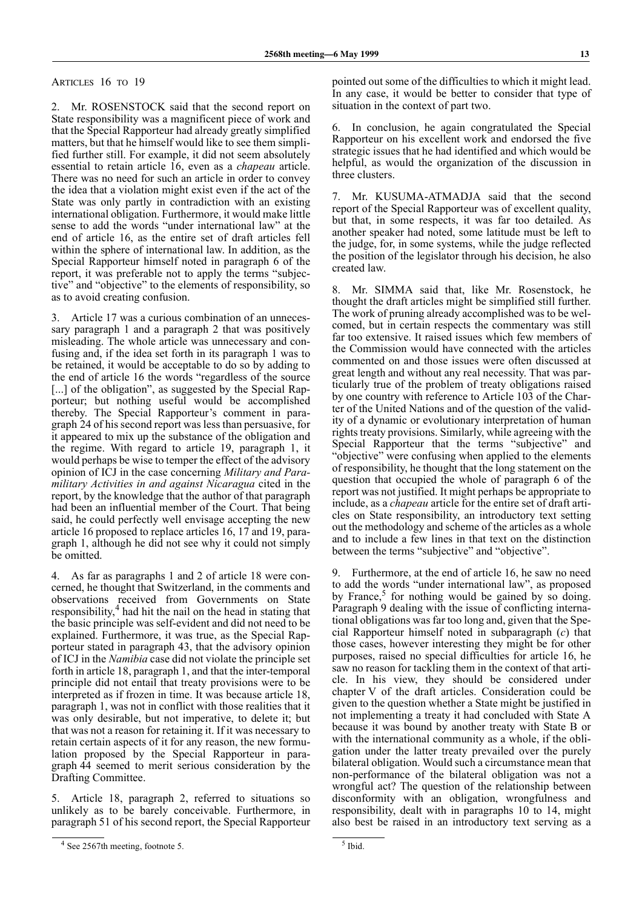ARTICLES 16 TO 19

Mr. ROSENSTOCK said that the second report on State responsibility was a magnificent piece of work and that the Special Rapporteur had already greatly simplified matters, but that he himself would like to see them simplified further still. For example, it did not seem absolutely essential to retain article 16, even as a *chapeau* article. There was no need for such an article in order to convey the idea that a violation might exist even if the act of the State was only partly in contradiction with an existing international obligation. Furthermore, it would make little sense to add the words "under international law" at the end of article 16, as the entire set of draft articles fell within the sphere of international law. In addition, as the Special Rapporteur himself noted in paragraph 6 of the report, it was preferable not to apply the terms "subjective" and "objective" to the elements of responsibility, so as to avoid creating confusion.

Article 17 was a curious combination of an unnecessary paragraph 1 and a paragraph 2 that was positively misleading. The whole article was unnecessary and confusing and, if the idea set forth in its paragraph 1 was to be retained, it would be acceptable to do so by adding to the end of article 16 the words "regardless of the source [...] of the obligation", as suggested by the Special Rapporteur; but nothing useful would be accomplished thereby. The Special Rapporteur's comment in paragraph 24 of his second report was less than persuasive, for it appeared to mix up the substance of the obligation and the regime. With regard to article 19, paragraph 1, it would perhaps be wise to temper the effect of the advisory opinion of ICJ in the case concerning *Military and Paramilitary Activities in and against Nicaragua* cited in the report, by the knowledge that the author of that paragraph had been an influential member of the Court. That being said, he could perfectly well envisage accepting the new article 16 proposed to replace articles 16, 17 and 19, paragraph 1, although he did not see why it could not simply be omitted.

4. As far as paragraphs 1 and 2 of article 18 were concerned, he thought that Switzerland, in the comments and observations received from Governments on State responsibility,<sup>4</sup> had hit the nail on the head in stating that the basic principle was self-evident and did not need to be explained. Furthermore, it was true, as the Special Rapporteur stated in paragraph 43, that the advisory opinion of ICJ in the *Namibia* case did not violate the principle set forth in article 18, paragraph 1, and that the inter-temporal principle did not entail that treaty provisions were to be interpreted as if frozen in time. It was because article 18, paragraph 1, was not in conflict with those realities that it was only desirable, but not imperative, to delete it; but that was not a reason for retaining it. If it was necessary to retain certain aspects of it for any reason, the new formulation proposed by the Special Rapporteur in paragraph 44 seemed to merit serious consideration by the Drafting Committee.

Article 18, paragraph 2, referred to situations so unlikely as to be barely conceivable. Furthermore, in paragraph 51 of his second report, the Special Rapporteur pointed out some of the difficulties to which it might lead. In any case, it would be better to consider that type of situation in the context of part two.

6. In conclusion, he again congratulated the Special Rapporteur on his excellent work and endorsed the five strategic issues that he had identified and which would be helpful, as would the organization of the discussion in three clusters.

7. Mr. KUSUMA-ATMADJA said that the second report of the Special Rapporteur was of excellent quality, but that, in some respects, it was far too detailed. As another speaker had noted, some latitude must be left to the judge, for, in some systems, while the judge reflected the position of the legislator through his decision, he also created law.

Mr. SIMMA said that, like Mr. Rosenstock, he thought the draft articles might be simplified still further. The work of pruning already accomplished was to be welcomed, but in certain respects the commentary was still far too extensive. It raised issues which few members of the Commission would have connected with the articles commented on and those issues were often discussed at great length and without any real necessity. That was particularly true of the problem of treaty obligations raised by one country with reference to Article 103 of the Charter of the United Nations and of the question of the validity of a dynamic or evolutionary interpretation of human rights treaty provisions. Similarly, while agreeing with the Special Rapporteur that the terms "subjective" and "objective" were confusing when applied to the elements of responsibility, he thought that the long statement on the question that occupied the whole of paragraph 6 of the report was not justified. It might perhaps be appropriate to include, as a *chapeau* article for the entire set of draft articles on State responsibility, an introductory text setting out the methodology and scheme of the articles as a whole and to include a few lines in that text on the distinction between the terms "subjective" and "objective".

9. Furthermore, at the end of article 16, he saw no need to add the words "under international law", as proposed by France,<sup>5</sup> for nothing would be gained by so doing. Paragraph 9 dealing with the issue of conflicting international obligations was far too long and, given that the Special Rapporteur himself noted in subparagraph (*c*) that those cases, however interesting they might be for other purposes, raised no special difficulties for article 16, he saw no reason for tackling them in the context of that article. In his view, they should be considered under chapter V of the draft articles. Consideration could be given to the question whether a State might be justified in not implementing a treaty it had concluded with State A because it was bound by another treaty with State B or with the international community as a whole, if the obligation under the latter treaty prevailed over the purely bilateral obligation. Would such a circumstance mean that non-performance of the bilateral obligation was not a wrongful act? The question of the relationship between disconformity with an obligation, wrongfulness and responsibility, dealt with in paragraphs 10 to 14, might also best be raised in an introductory text serving as a

<sup>&</sup>lt;sup>4</sup> See 2567th meeting, footnote 5.

<sup>5</sup> Ibid.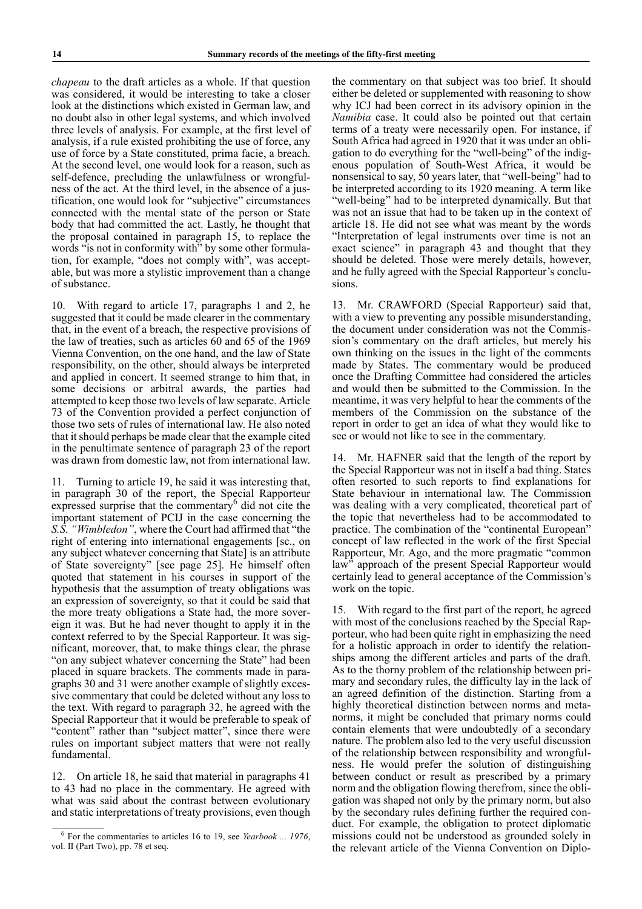*chapeau* to the draft articles as a whole. If that question was considered, it would be interesting to take a closer look at the distinctions which existed in German law, and no doubt also in other legal systems, and which involved three levels of analysis. For example, at the first level of analysis, if a rule existed prohibiting the use of force, any use of force by a State constituted, prima facie, a breach. At the second level, one would look for a reason, such as self-defence, precluding the unlawfulness or wrongfulness of the act. At the third level, in the absence of a justification, one would look for "subjective" circumstances connected with the mental state of the person or State body that had committed the act. Lastly, he thought that the proposal contained in paragraph 15, to replace the words "is not in conformity with" by some other formulation, for example, "does not comply with", was acceptable, but was more a stylistic improvement than a change of substance.

10. With regard to article 17, paragraphs 1 and 2, he suggested that it could be made clearer in the commentary that, in the event of a breach, the respective provisions of the law of treaties, such as articles 60 and 65 of the 1969 Vienna Convention, on the one hand, and the law of State responsibility, on the other, should always be interpreted and applied in concert. It seemed strange to him that, in some decisions or arbitral awards, the parties had attempted to keep those two levels of law separate. Article 73 of the Convention provided a perfect conjunction of those two sets of rules of international law. He also noted that it should perhaps be made clear that the example cited in the penultimate sentence of paragraph 23 of the report was drawn from domestic law, not from international law.

11. Turning to article 19, he said it was interesting that, in paragraph 30 of the report, the Special Rapporteur expressed surprise that the commentary $\frac{1}{2}$  did not cite the important statement of PCIJ in the case concerning the *S.S. "Wimbledon"*, where the Court had affirmed that "the right of entering into international engagements [sc., on any subject whatever concerning that State] is an attribute of State sovereignty" [see page 25]. He himself often quoted that statement in his courses in support of the hypothesis that the assumption of treaty obligations was an expression of sovereignty, so that it could be said that the more treaty obligations a State had, the more sovereign it was. But he had never thought to apply it in the context referred to by the Special Rapporteur. It was significant, moreover, that, to make things clear, the phrase "on any subject whatever concerning the State" had been placed in square brackets. The comments made in paragraphs 30 and 31 were another example of slightly excessive commentary that could be deleted without any loss to the text. With regard to paragraph 32, he agreed with the Special Rapporteur that it would be preferable to speak of "content" rather than "subject matter", since there were rules on important subject matters that were not really fundamental.

12. On article 18, he said that material in paragraphs 41 to 43 had no place in the commentary. He agreed with what was said about the contrast between evolutionary and static interpretations of treaty provisions, even though the commentary on that subject was too brief. It should either be deleted or supplemented with reasoning to show why ICJ had been correct in its advisory opinion in the *Namibia* case. It could also be pointed out that certain terms of a treaty were necessarily open. For instance, if South Africa had agreed in 1920 that it was under an obligation to do everything for the "well-being" of the indigenous population of South-West Africa, it would be nonsensical to say, 50 years later, that "well-being" had to be interpreted according to its 1920 meaning. A term like "well-being" had to be interpreted dynamically. But that was not an issue that had to be taken up in the context of article 18. He did not see what was meant by the words "Interpretation of legal instruments over time is not an exact science" in paragraph 43 and thought that they should be deleted. Those were merely details, however, and he fully agreed with the Special Rapporteur's conclusions.

13. Mr. CRAWFORD (Special Rapporteur) said that, with a view to preventing any possible misunderstanding, the document under consideration was not the Commission's commentary on the draft articles, but merely his own thinking on the issues in the light of the comments made by States. The commentary would be produced once the Drafting Committee had considered the articles and would then be submitted to the Commission. In the meantime, it was very helpful to hear the comments of the members of the Commission on the substance of the report in order to get an idea of what they would like to see or would not like to see in the commentary.

14. Mr. HAFNER said that the length of the report by the Special Rapporteur was not in itself a bad thing. States often resorted to such reports to find explanations for State behaviour in international law. The Commission was dealing with a very complicated, theoretical part of the topic that nevertheless had to be accommodated to practice. The combination of the "continental European" concept of law reflected in the work of the first Special Rapporteur, Mr. Ago, and the more pragmatic "common law" approach of the present Special Rapporteur would certainly lead to general acceptance of the Commission's work on the topic.

15. With regard to the first part of the report, he agreed with most of the conclusions reached by the Special Rapporteur, who had been quite right in emphasizing the need for a holistic approach in order to identify the relationships among the different articles and parts of the draft. As to the thorny problem of the relationship between primary and secondary rules, the difficulty lay in the lack of an agreed definition of the distinction. Starting from a highly theoretical distinction between norms and metanorms, it might be concluded that primary norms could contain elements that were undoubtedly of a secondary nature. The problem also led to the very useful discussion of the relationship between responsibility and wrongfulness. He would prefer the solution of distinguishing between conduct or result as prescribed by a primary norm and the obligation flowing therefrom, since the obligation was shaped not only by the primary norm, but also by the secondary rules defining further the required conduct. For example, the obligation to protect diplomatic missions could not be understood as grounded solely in the relevant article of the Vienna Convention on Diplo-

<sup>6</sup> For the commentaries to articles 16 to 19, see *Yearbook ... 1976*, vol. II (Part Two), pp. 78 et seq.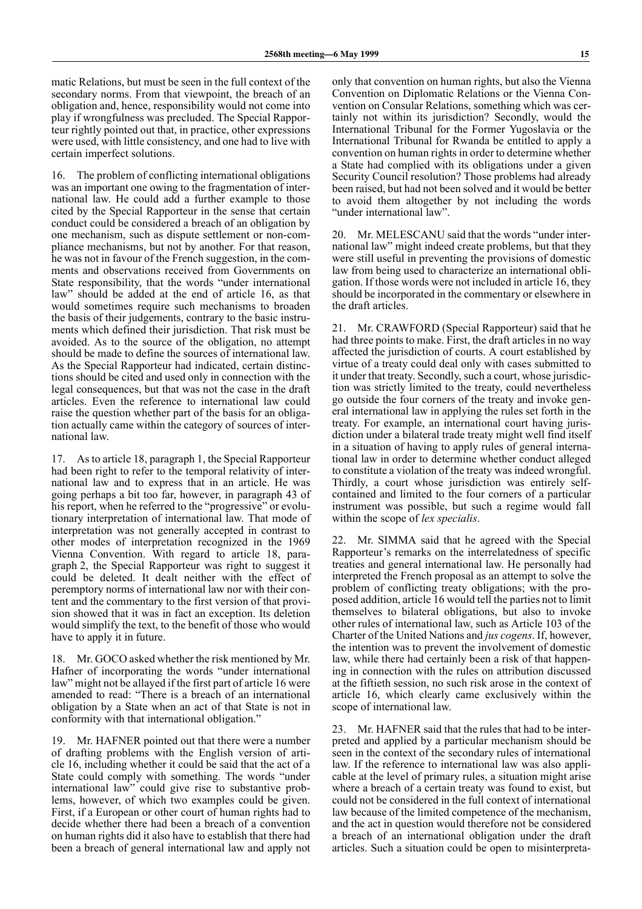matic Relations, but must be seen in the full context of the secondary norms. From that viewpoint, the breach of an obligation and, hence, responsibility would not come into play if wrongfulness was precluded. The Special Rapporteur rightly pointed out that, in practice, other expressions were used, with little consistency, and one had to live with certain imperfect solutions.

16. The problem of conflicting international obligations was an important one owing to the fragmentation of international law. He could add a further example to those cited by the Special Rapporteur in the sense that certain conduct could be considered a breach of an obligation by one mechanism, such as dispute settlement or non-compliance mechanisms, but not by another. For that reason, he was not in favour of the French suggestion, in the comments and observations received from Governments on State responsibility, that the words "under international law" should be added at the end of article 16, as that would sometimes require such mechanisms to broaden the basis of their judgements, contrary to the basic instruments which defined their jurisdiction. That risk must be avoided. As to the source of the obligation, no attempt should be made to define the sources of international law. As the Special Rapporteur had indicated, certain distinctions should be cited and used only in connection with the legal consequences, but that was not the case in the draft articles. Even the reference to international law could raise the question whether part of the basis for an obligation actually came within the category of sources of international law.

As to article 18, paragraph 1, the Special Rapporteur had been right to refer to the temporal relativity of international law and to express that in an article. He was going perhaps a bit too far, however, in paragraph 43 of his report, when he referred to the "progressive" or evolutionary interpretation of international law. That mode of interpretation was not generally accepted in contrast to other modes of interpretation recognized in the 1969 Vienna Convention. With regard to article 18, paragraph 2, the Special Rapporteur was right to suggest it could be deleted. It dealt neither with the effect of peremptory norms of international law nor with their content and the commentary to the first version of that provision showed that it was in fact an exception. Its deletion would simplify the text, to the benefit of those who would have to apply it in future.

18. Mr. GOCO asked whether the risk mentioned by Mr. Hafner of incorporating the words "under international law" might not be allayed if the first part of article 16 were amended to read: "There is a breach of an international obligation by a State when an act of that State is not in conformity with that international obligation."

19. Mr. HAFNER pointed out that there were a number of drafting problems with the English version of article 16, including whether it could be said that the act of a State could comply with something. The words "under international law" could give rise to substantive problems, however, of which two examples could be given. First, if a European or other court of human rights had to decide whether there had been a breach of a convention on human rights did it also have to establish that there had been a breach of general international law and apply not

only that convention on human rights, but also the Vienna Convention on Diplomatic Relations or the Vienna Convention on Consular Relations, something which was certainly not within its jurisdiction? Secondly, would the International Tribunal for the Former Yugoslavia or the International Tribunal for Rwanda be entitled to apply a convention on human rights in order to determine whether a State had complied with its obligations under a given Security Council resolution? Those problems had already been raised, but had not been solved and it would be better to avoid them altogether by not including the words "under international law".

20. Mr. MELESCANU said that the words "under international law" might indeed create problems, but that they were still useful in preventing the provisions of domestic law from being used to characterize an international obligation. If those words were not included in article 16, they should be incorporated in the commentary or elsewhere in the draft articles.

21. Mr. CRAWFORD (Special Rapporteur) said that he had three points to make. First, the draft articles in no way affected the jurisdiction of courts. A court established by virtue of a treaty could deal only with cases submitted to it under that treaty. Secondly, such a court, whose jurisdiction was strictly limited to the treaty, could nevertheless go outside the four corners of the treaty and invoke general international law in applying the rules set forth in the treaty. For example, an international court having jurisdiction under a bilateral trade treaty might well find itself in a situation of having to apply rules of general international law in order to determine whether conduct alleged to constitute a violation of the treaty was indeed wrongful. Thirdly, a court whose jurisdiction was entirely selfcontained and limited to the four corners of a particular instrument was possible, but such a regime would fall within the scope of *lex specialis*.

22. Mr. SIMMA said that he agreed with the Special Rapporteur's remarks on the interrelatedness of specific treaties and general international law. He personally had interpreted the French proposal as an attempt to solve the problem of conflicting treaty obligations; with the proposed addition, article 16 would tell the parties not to limit themselves to bilateral obligations, but also to invoke other rules of international law, such as Article 103 of the Charter of the United Nations and *jus cogens*. If, however, the intention was to prevent the involvement of domestic law, while there had certainly been a risk of that happening in connection with the rules on attribution discussed at the fiftieth session, no such risk arose in the context of article 16, which clearly came exclusively within the scope of international law.

23. Mr. HAFNER said that the rules that had to be interpreted and applied by a particular mechanism should be seen in the context of the secondary rules of international law. If the reference to international law was also applicable at the level of primary rules, a situation might arise where a breach of a certain treaty was found to exist, but could not be considered in the full context of international law because of the limited competence of the mechanism, and the act in question would therefore not be considered a breach of an international obligation under the draft articles. Such a situation could be open to misinterpreta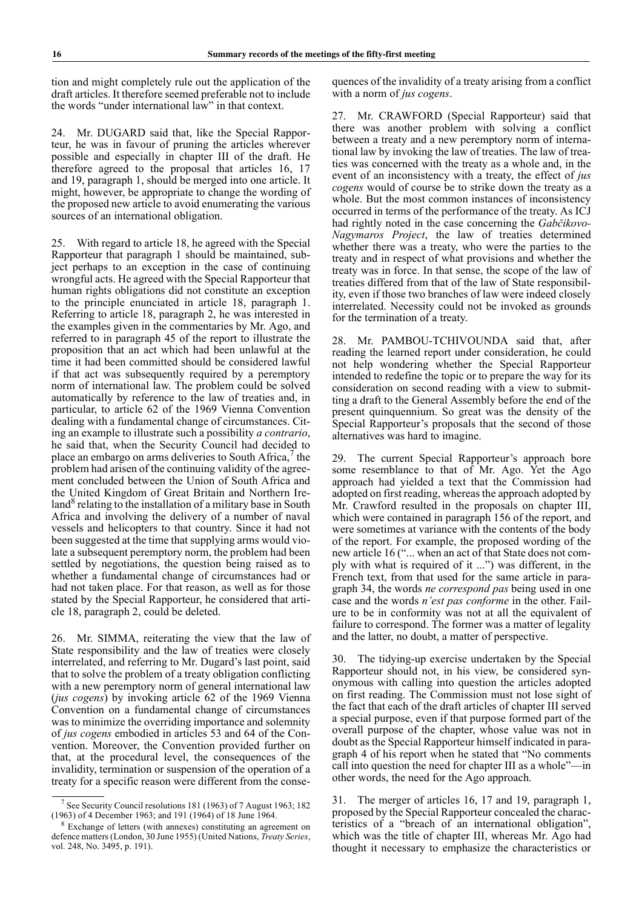tion and might completely rule out the application of the draft articles. It therefore seemed preferable not to include the words "under international law" in that context.

24. Mr. DUGARD said that, like the Special Rapporteur, he was in favour of pruning the articles wherever possible and especially in chapter III of the draft. He therefore agreed to the proposal that articles 16, 17 and 19, paragraph 1, should be merged into one article. It might, however, be appropriate to change the wording of the proposed new article to avoid enumerating the various sources of an international obligation.

25. With regard to article 18, he agreed with the Special Rapporteur that paragraph 1 should be maintained, subject perhaps to an exception in the case of continuing wrongful acts. He agreed with the Special Rapporteur that human rights obligations did not constitute an exception to the principle enunciated in article 18, paragraph 1. Referring to article 18, paragraph 2, he was interested in the examples given in the commentaries by Mr. Ago, and referred to in paragraph 45 of the report to illustrate the proposition that an act which had been unlawful at the time it had been committed should be considered lawful if that act was subsequently required by a peremptory norm of international law. The problem could be solved automatically by reference to the law of treaties and, in particular, to article 62 of the 1969 Vienna Convention dealing with a fundamental change of circumstances. Citing an example to illustrate such a possibility *a contrario*, he said that, when the Security Council had decided to place an embargo on arms deliveries to South Africa, $\frac{7}{1}$  the problem had arisen of the continuing validity of the agreement concluded between the Union of South Africa and the United Kingdom of Great Britain and Northern Ireland<sup>8</sup> relating to the installation of a military base in South Africa and involving the delivery of a number of naval vessels and helicopters to that country. Since it had not been suggested at the time that supplying arms would violate a subsequent peremptory norm, the problem had been settled by negotiations, the question being raised as to whether a fundamental change of circumstances had or had not taken place. For that reason, as well as for those stated by the Special Rapporteur, he considered that article 18, paragraph 2, could be deleted.

26. Mr. SIMMA, reiterating the view that the law of State responsibility and the law of treaties were closely interrelated, and referring to Mr. Dugard's last point, said that to solve the problem of a treaty obligation conflicting with a new peremptory norm of general international law (*jus cogens*) by invoking article 62 of the 1969 Vienna Convention on a fundamental change of circumstances was to minimize the overriding importance and solemnity of *jus cogens* embodied in articles 53 and 64 of the Convention. Moreover, the Convention provided further on that, at the procedural level, the consequences of the invalidity, termination or suspension of the operation of a treaty for a specific reason were different from the consequences of the invalidity of a treaty arising from a conflict with a norm of *jus cogens*.

27. Mr. CRAWFORD (Special Rapporteur) said that there was another problem with solving a conflict between a treaty and a new peremptory norm of international law by invoking the law of treaties. The law of treaties was concerned with the treaty as a whole and, in the event of an inconsistency with a treaty, the effect of *jus cogens* would of course be to strike down the treaty as a whole. But the most common instances of inconsistency occurred in terms of the performance of the treaty. As ICJ had rightly noted in the case concerning the *Gabčikovo-Nagymaros Project*, the law of treaties determined whether there was a treaty, who were the parties to the treaty and in respect of what provisions and whether the treaty was in force. In that sense, the scope of the law of treaties differed from that of the law of State responsibility, even if those two branches of law were indeed closely interrelated. Necessity could not be invoked as grounds for the termination of a treaty.

28. Mr. PAMBOU-TCHIVOUNDA said that, after reading the learned report under consideration, he could not help wondering whether the Special Rapporteur intended to redefine the topic or to prepare the way for its consideration on second reading with a view to submitting a draft to the General Assembly before the end of the present quinquennium. So great was the density of the Special Rapporteur's proposals that the second of those alternatives was hard to imagine.

29. The current Special Rapporteur's approach bore some resemblance to that of Mr. Ago. Yet the Ago approach had yielded a text that the Commission had adopted on first reading, whereas the approach adopted by Mr. Crawford resulted in the proposals on chapter III, which were contained in paragraph 156 of the report, and were sometimes at variance with the contents of the body of the report. For example, the proposed wording of the new article 16 ("... when an act of that State does not comply with what is required of it ...") was different, in the French text, from that used for the same article in paragraph 34, the words *ne correspond pas* being used in one case and the words *n'est pas conforme* in the other. Failure to be in conformity was not at all the equivalent of failure to correspond. The former was a matter of legality and the latter, no doubt, a matter of perspective.

30. The tidying-up exercise undertaken by the Special Rapporteur should not, in his view, be considered synonymous with calling into question the articles adopted on first reading. The Commission must not lose sight of the fact that each of the draft articles of chapter III served a special purpose, even if that purpose formed part of the overall purpose of the chapter, whose value was not in doubt as the Special Rapporteur himself indicated in paragraph 4 of his report when he stated that "No comments call into question the need for chapter III as a whole"—in other words, the need for the Ago approach.

31. The merger of articles 16, 17 and 19, paragraph 1, proposed by the Special Rapporteur concealed the characteristics of a "breach of an international obligation" which was the title of chapter III, whereas Mr. Ago had thought it necessary to emphasize the characteristics or

<sup>7</sup> See Security Council resolutions 181 (1963) of 7 August 1963; 182 (1963) of 4 December 1963; and 191 (1964) of 18 June 1964.

<sup>8</sup> Exchange of letters (with annexes) constituting an agreement on defence matters (London, 30 June 1955) (United Nations, *Treaty Series*, vol. 248, No. 3495, p. 191).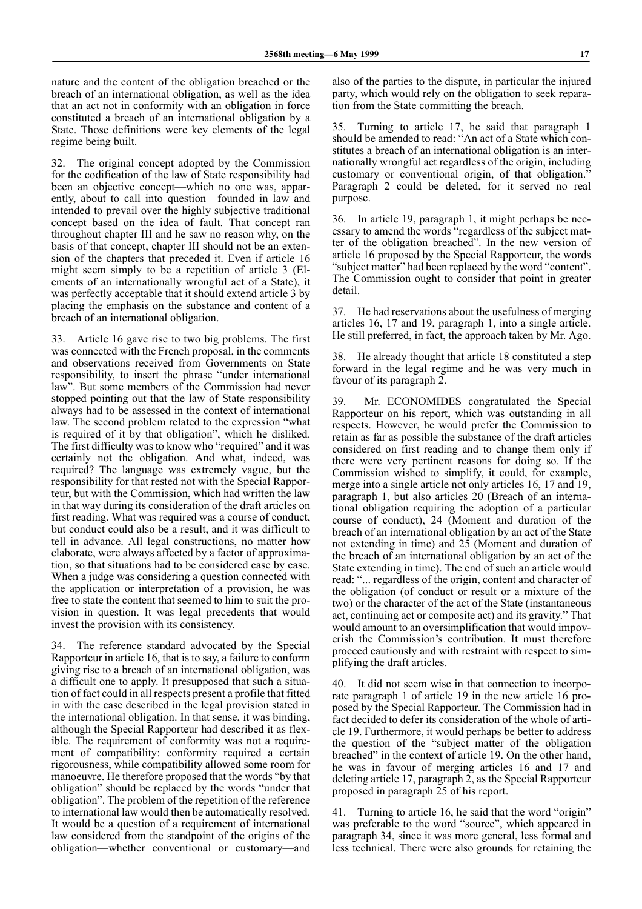nature and the content of the obligation breached or the breach of an international obligation, as well as the idea that an act not in conformity with an obligation in force constituted a breach of an international obligation by a State. Those definitions were key elements of the legal regime being built.

32. The original concept adopted by the Commission for the codification of the law of State responsibility had been an objective concept—which no one was, apparently, about to call into question—founded in law and intended to prevail over the highly subjective traditional concept based on the idea of fault. That concept ran throughout chapter III and he saw no reason why, on the basis of that concept, chapter III should not be an extension of the chapters that preceded it. Even if article 16 might seem simply to be a repetition of article 3 (Elements of an internationally wrongful act of a State), it was perfectly acceptable that it should extend article 3 by placing the emphasis on the substance and content of a breach of an international obligation.

33. Article 16 gave rise to two big problems. The first was connected with the French proposal, in the comments and observations received from Governments on State responsibility, to insert the phrase "under international law". But some members of the Commission had never stopped pointing out that the law of State responsibility always had to be assessed in the context of international law. The second problem related to the expression "what is required of it by that obligation", which he disliked. The first difficulty was to know who "required" and it was certainly not the obligation. And what, indeed, was required? The language was extremely vague, but the responsibility for that rested not with the Special Rapporteur, but with the Commission, which had written the law in that way during its consideration of the draft articles on first reading. What was required was a course of conduct, but conduct could also be a result, and it was difficult to tell in advance. All legal constructions, no matter how elaborate, were always affected by a factor of approximation, so that situations had to be considered case by case. When a judge was considering a question connected with the application or interpretation of a provision, he was free to state the content that seemed to him to suit the provision in question. It was legal precedents that would invest the provision with its consistency.

34. The reference standard advocated by the Special Rapporteur in article 16, that is to say, a failure to conform giving rise to a breach of an international obligation, was a difficult one to apply. It presupposed that such a situation of fact could in all respects present a profile that fitted in with the case described in the legal provision stated in the international obligation. In that sense, it was binding, although the Special Rapporteur had described it as flexible. The requirement of conformity was not a requirement of compatibility: conformity required a certain rigorousness, while compatibility allowed some room for manoeuvre. He therefore proposed that the words "by that obligation" should be replaced by the words "under that obligation". The problem of the repetition of the reference to international law would then be automatically resolved. It would be a question of a requirement of international law considered from the standpoint of the origins of the obligation—whether conventional or customary—and

also of the parties to the dispute, in particular the injured party, which would rely on the obligation to seek reparation from the State committing the breach.

35. Turning to article 17, he said that paragraph 1 should be amended to read: "An act of a State which constitutes a breach of an international obligation is an internationally wrongful act regardless of the origin, including customary or conventional origin, of that obligation." Paragraph 2 could be deleted, for it served no real purpose.

36. In article 19, paragraph 1, it might perhaps be necessary to amend the words "regardless of the subject matter of the obligation breached". In the new version of article 16 proposed by the Special Rapporteur, the words "subject matter" had been replaced by the word "content". The Commission ought to consider that point in greater detail.

37. He had reservations about the usefulness of merging articles 16, 17 and 19, paragraph 1, into a single article. He still preferred, in fact, the approach taken by Mr. Ago.

38. He already thought that article 18 constituted a step forward in the legal regime and he was very much in favour of its paragraph 2.

39. Mr. ECONOMIDES congratulated the Special Rapporteur on his report, which was outstanding in all respects. However, he would prefer the Commission to retain as far as possible the substance of the draft articles considered on first reading and to change them only if there were very pertinent reasons for doing so. If the Commission wished to simplify, it could, for example, merge into a single article not only articles 16, 17 and 19, paragraph 1, but also articles 20 (Breach of an international obligation requiring the adoption of a particular course of conduct), 24 (Moment and duration of the breach of an international obligation by an act of the State not extending in time) and 25 (Moment and duration of the breach of an international obligation by an act of the State extending in time). The end of such an article would read: "... regardless of the origin, content and character of the obligation (of conduct or result or a mixture of the two) or the character of the act of the State (instantaneous act, continuing act or composite act) and its gravity." That would amount to an oversimplification that would impoverish the Commission's contribution. It must therefore proceed cautiously and with restraint with respect to simplifying the draft articles.

40. It did not seem wise in that connection to incorporate paragraph 1 of article 19 in the new article 16 proposed by the Special Rapporteur. The Commission had in fact decided to defer its consideration of the whole of article 19. Furthermore, it would perhaps be better to address the question of the "subject matter of the obligation breached" in the context of article 19. On the other hand, he was in favour of merging articles 16 and 17 and deleting article 17, paragraph 2, as the Special Rapporteur proposed in paragraph 25 of his report.

41. Turning to article 16, he said that the word "origin" was preferable to the word "source", which appeared in paragraph 34, since it was more general, less formal and less technical. There were also grounds for retaining the